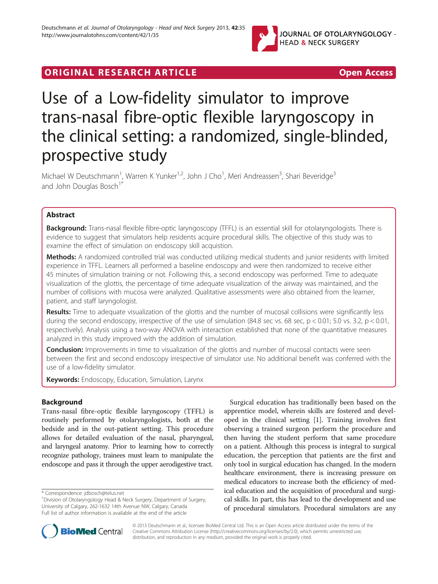

# **ORIGINAL RESEARCH ARTICLE CONSUMING ACCESS**

# Use of a Low-fidelity simulator to improve trans-nasal fibre-optic flexible laryngoscopy in the clinical setting: a randomized, single-blinded, prospective study

Michael W Deutschmann<sup>1</sup>, Warren K Yunker<sup>1,2</sup>, John J Cho<sup>1</sup>, Meri Andreassen<sup>3</sup>, Shari Beveridge<sup>3</sup> and John Douglas Bosch<sup>1</sup>

# Abstract

Background: Trans-nasal flexible fibre-optic laryngoscopy (TFFL) is an essential skill for otolaryngologists. There is evidence to suggest that simulators help residents acquire procedural skills. The objective of this study was to examine the effect of simulation on endoscopy skill acquistion.

Methods: A randomized controlled trial was conducted utilizing medical students and junior residents with limited experience in TFFL. Learners all performed a baseline endoscopy and were then randomized to receive either 45 minutes of simulation training or not. Following this, a second endoscopy was performed. Time to adequate visualization of the glottis, the percentage of time adequate visualization of the airway was maintained, and the number of collisions with mucosa were analyzed. Qualitative assessments were also obtained from the learner, patient, and staff laryngologist.

Results: Time to adequate visualization of the glottis and the number of mucosal collisions were significantly less during the second endoscopy, irrespective of the use of simulation (84.8 sec vs. 68 sec,  $p < 0.01$ ; 5.0 vs. 3.2,  $p < 0.01$ , respectively). Analysis using a two-way ANOVA with interaction established that none of the quantitative measures analyzed in this study improved with the addition of simulation.

**Conclusion:** Improvements in time to visualization of the glottis and number of mucosal contacts were seen between the first and second endoscopy irrespective of simulator use. No additional benefit was conferred with the use of a low-fidelity simulator.

Keywords: Endoscopy, Education, Simulation, Larynx

## Background

Trans-nasal fibre-optic flexible laryngoscopy (TFFL) is routinely performed by otolaryngologists, both at the bedside and in the out-patient setting. This procedure allows for detailed evaluation of the nasal, pharyngeal, and laryngeal anatomy. Prior to learning how to correctly recognize pathology, trainees must learn to manipulate the endoscope and pass it through the upper aerodigestive tract.

Surgical education has traditionally been based on the apprentice model, wherein skills are fostered and developed in the clinical setting [\[1](#page-6-0)]. Training involves first observing a trained surgeon perform the procedure and then having the student perform that same procedure on a patient. Although this process is integral to surgical education, the perception that patients are the first and only tool in surgical education has changed. In the modern healthcare environment, there is increasing pressure on medical educators to increase both the efficiency of medical education and the acquisition of procedural and surgical skills. In part, this has lead to the development and use of procedural simulators. Procedural simulators are any



© 2013 Deutschmann et al.; licensee BioMed Central Ltd. This is an Open Access article distributed under the terms of the Creative Commons Attribution License (<http://creativecommons.org/licenses/by/2.0>), which permits unrestricted use, distribution, and reproduction in any medium, provided the original work is properly cited.

<sup>\*</sup> Correspondence: [jdbosch@telus.net](mailto:jdbosch@telus.net) <sup>1</sup>

<sup>&</sup>lt;sup>1</sup> Division of Otolaryngology Head & Neck Surgery, Department of Surgery, University of Calgary, 262-1632 14th Avenue NW, Calgary, Canada Full list of author information is available at the end of the article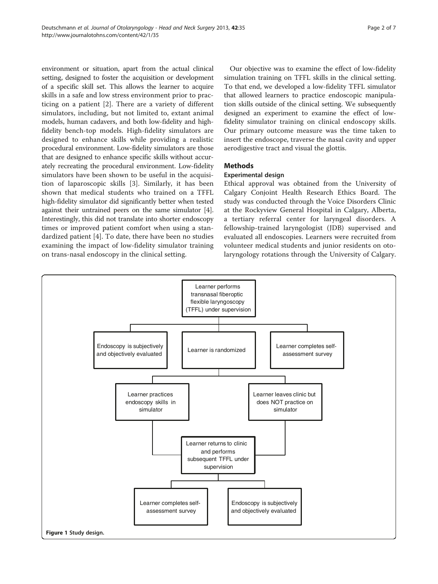<span id="page-1-0"></span>environment or situation, apart from the actual clinical setting, designed to foster the acquisition or development of a specific skill set. This allows the learner to acquire skills in a safe and low stress environment prior to practicing on a patient [\[2](#page-6-0)]. There are a variety of different simulators, including, but not limited to, extant animal models, human cadavers, and both low-fidelity and highfidelity bench-top models. High-fidelity simulators are designed to enhance skills while providing a realistic procedural environment. Low-fidelity simulators are those that are designed to enhance specific skills without accurately recreating the procedural environment. Low-fidelity simulators have been shown to be useful in the acquisition of laparoscopic skills [[3\]](#page-6-0). Similarly, it has been shown that medical students who trained on a TFFL high-fidelity simulator did significantly better when tested against their untrained peers on the same simulator [[4](#page-6-0)]. Interestingly, this did not translate into shorter endoscopy times or improved patient comfort when using a standardized patient [[4\]](#page-6-0). To date, there have been no studies examining the impact of low-fidelity simulator training on trans-nasal endoscopy in the clinical setting.

Our objective was to examine the effect of low-fidelity simulation training on TFFL skills in the clinical setting. To that end, we developed a low-fidelity TFFL simulator that allowed learners to practice endoscopic manipulation skills outside of the clinical setting. We subsequently designed an experiment to examine the effect of lowfidelity simulator training on clinical endoscopy skills. Our primary outcome measure was the time taken to insert the endoscope, traverse the nasal cavity and upper aerodigestive tract and visual the glottis.

## **Methods**

## Experimental design

Ethical approval was obtained from the University of Calgary Conjoint Health Research Ethics Board. The study was conducted through the Voice Disorders Clinic at the Rockyview General Hospital in Calgary, Alberta, a tertiary referral center for laryngeal disorders. A fellowship-trained laryngologist (JDB) supervised and evaluated all endoscopies. Learners were recruited from volunteer medical students and junior residents on otolaryngology rotations through the University of Calgary.

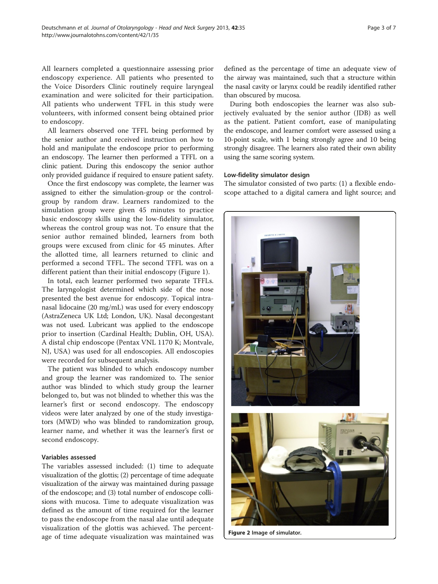<span id="page-2-0"></span>All learners completed a questionnaire assessing prior endoscopy experience. All patients who presented to the Voice Disorders Clinic routinely require laryngeal examination and were solicited for their participation. All patients who underwent TFFL in this study were volunteers, with informed consent being obtained prior to endoscopy.

All learners observed one TFFL being performed by the senior author and received instruction on how to hold and manipulate the endoscope prior to performing an endoscopy. The learner then performed a TFFL on a clinic patient. During this endoscopy the senior author only provided guidance if required to ensure patient safety.

Once the first endoscopy was complete, the learner was assigned to either the simulation-group or the controlgroup by random draw. Learners randomized to the simulation group were given 45 minutes to practice basic endoscopy skills using the low-fidelity simulator, whereas the control group was not. To ensure that the senior author remained blinded, learners from both groups were excused from clinic for 45 minutes. After the allotted time, all learners returned to clinic and performed a second TFFL. The second TFFL was on a different patient than their initial endoscopy (Figure [1](#page-1-0)).

In total, each learner performed two separate TFFLs. The laryngologist determined which side of the nose presented the best avenue for endoscopy. Topical intranasal lidocaine (20 mg/mL) was used for every endoscopy (AstraZeneca UK Ltd; London, UK). Nasal decongestant was not used. Lubricant was applied to the endoscope prior to insertion (Cardinal Health; Dublin, OH, USA). A distal chip endoscope (Pentax VNL 1170 K; Montvale, NJ, USA) was used for all endoscopies. All endoscopies were recorded for subsequent analysis.

The patient was blinded to which endoscopy number and group the learner was randomized to. The senior author was blinded to which study group the learner belonged to, but was not blinded to whether this was the learner's first or second endoscopy. The endoscopy videos were later analyzed by one of the study investigators (MWD) who was blinded to randomization group, learner name, and whether it was the learner's first or second endoscopy.

### Variables assessed

The variables assessed included: (1) time to adequate visualization of the glottis; (2) percentage of time adequate visualization of the airway was maintained during passage of the endoscope; and (3) total number of endoscope collisions with mucosa. Time to adequate visualization was defined as the amount of time required for the learner to pass the endoscope from the nasal alae until adequate visualization of the glottis was achieved. The percentage of time adequate visualization was maintained was defined as the percentage of time an adequate view of the airway was maintained, such that a structure within the nasal cavity or larynx could be readily identified rather than obscured by mucosa.

During both endoscopies the learner was also subjectively evaluated by the senior author (JDB) as well as the patient. Patient comfort, ease of manipulating the endoscope, and learner comfort were assessed using a 10-point scale, with 1 being strongly agree and 10 being strongly disagree. The learners also rated their own ability using the same scoring system.

#### Low-fidelity simulator design

The simulator consisted of two parts: (1) a flexible endoscope attached to a digital camera and light source; and



Figure 2 Image of simulator.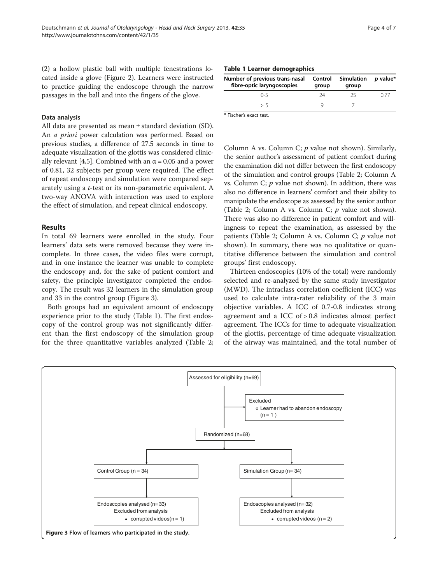(2) a hollow plastic ball with multiple fenestrations located inside a glove (Figure [2](#page-2-0)). Learners were instructed to practice guiding the endoscope through the narrow passages in the ball and into the fingers of the glove.

#### Data analysis

All data are presented as mean ± standard deviation (SD). An a priori power calculation was performed. Based on previous studies, a difference of 27.5 seconds in time to adequate visualization of the glottis was considered clinic-ally relevant [[4,5](#page-6-0)]. Combined with an  $\alpha$  = 0.05 and a power of 0.81, 32 subjects per group were required. The effect of repeat endoscopy and simulation were compared separately using a t-test or its non-parametric equivalent. A two-way ANOVA with interaction was used to explore the effect of simulation, and repeat clinical endoscopy.

#### Results

In total 69 learners were enrolled in the study. Four learners' data sets were removed because they were incomplete. In three cases, the video files were corrupt, and in one instance the learner was unable to complete the endoscopy and, for the sake of patient comfort and safety, the principle investigator completed the endoscopy. The result was 32 learners in the simulation group and 33 in the control group (Figure 3).

Both groups had an equivalent amount of endoscopy experience prior to the study (Table 1). The first endoscopy of the control group was not significantly different than the first endoscopy of the simulation group for the three quantitative variables analyzed (Table [2](#page-4-0);

| Table 1 Learner demographics |  |
|------------------------------|--|
|------------------------------|--|

| Number of previous trans-nasal<br>fibre-optic laryngoscopies | Control<br>group | Simulation<br>group | <i>p</i> value* |
|--------------------------------------------------------------|------------------|---------------------|-----------------|
| በ-5                                                          | 24               | -25                 | N 77            |
| > 5                                                          |                  |                     |                 |

\* Fischer's exact test.

Column A vs. Column C;  $p$  value not shown). Similarly, the senior author's assessment of patient comfort during the examination did not differ between the first endoscopy of the simulation and control groups (Table [2](#page-4-0); Column A vs. Column C;  $p$  value not shown). In addition, there was also no difference in learners' comfort and their ability to manipulate the endoscope as assessed by the senior author (Table [2](#page-4-0); Column A vs. Column C;  $p$  value not shown). There was also no difference in patient comfort and willingness to repeat the examination, as assessed by the patients (Table [2](#page-4-0); Column A vs. Column C;  $p$  value not shown). In summary, there was no qualitative or quantitative difference between the simulation and control groups' first endoscopy.

Thirteen endoscopies (10% of the total) were randomly selected and re-analyzed by the same study investigator (MWD). The intraclass correlation coefficient (ICC) was used to calculate intra-rater reliability of the 3 main objective variables. A ICC of 0.7-0.8 indicates strong agreement and a ICC of > 0.8 indicates almost perfect agreement. The ICCs for time to adequate visualization of the glottis, percentage of time adequate visualization of the airway was maintained, and the total number of

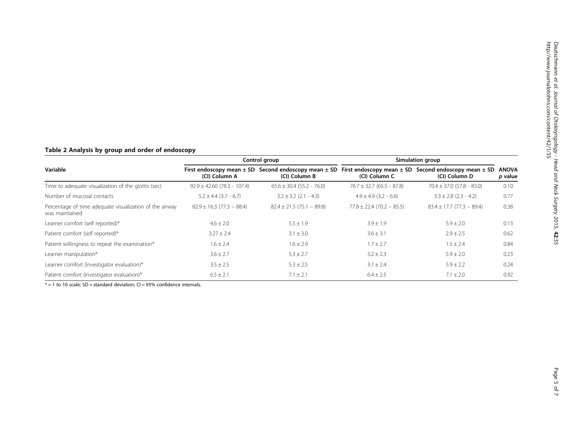# <span id="page-4-0"></span>Table 2 Analysis by group and order of endoscopy

|                                                                           | Control group                   |                                                                               | Simulation group              |                                                                               |                         |
|---------------------------------------------------------------------------|---------------------------------|-------------------------------------------------------------------------------|-------------------------------|-------------------------------------------------------------------------------|-------------------------|
| Variable                                                                  | (CI) Column A                   | First endoscopy mean $\pm$ SD Second endoscopy mean $\pm$ SD<br>(CI) Column B | (CI) Column C                 | First endoscopy mean $\pm$ SD Second endoscopy mean $\pm$ SD<br>(CI) Column D | <b>ANOVA</b><br>p value |
| Time to adequate visualization of the glottis (sec)                       | $92.9 \pm 42.60$ (78.3 - 107.4) | $65.6 \pm 30.4$ (55.2 - 76.0)                                                 | $76.7 \pm 32.7$ (65.5 - 87.8) | $70.4 \pm 37.0$ (57.8 - 83.0)                                                 | 0.10                    |
| Number of mucosal contacts                                                | $5.2 \pm 4.4$ (3.7 - 6.7)       | $3.2 \pm 3.2$ (2.1 - 4.3)                                                     | $4.9 \pm 4.9$ (3.2 - 6.6)     | $3.3 \pm 2.8$ (2.3 - 4.2)                                                     | 0.77                    |
| Percentage of time adequate visualization of the airway<br>was maintained | $82.9 \pm 16.3$ (77.3 - 88.4)   | $82.4 \pm 21.5(75.1 - 89.8)$                                                  | $77.8 \pm 22.4$ (70.2 - 85.5) | $83.4 \pm 17.7$ (77.3 - 89.4)                                                 | 0.38                    |
| Learner comfort (self reported)*                                          | $4.6 \pm 2.0$                   | $5.5 \pm 1.9$                                                                 | $3.9 \pm 1.9$                 | $5.9 \pm 2.0$                                                                 | 0.13                    |
| Patient comfort (self reported)*                                          | $3.27 \pm 2.4$                  | $3.1 \pm 3.0$                                                                 | $3.6 \pm 3.1$                 | $2.9 \pm 2.5$                                                                 | 0.62                    |
| Patient willingness to repeat the examination*                            | $1.6 \pm 2.4$                   | $1.6 \pm 2.9$                                                                 | $1.7 \pm 2.7$                 | $1.5 \pm 2.4$                                                                 | 0.84                    |
| Learner manipulation*                                                     | $3.6 \pm 2.7$                   | $5.3 \pm 2.7$                                                                 | $3.2 \pm 2.3$                 | $5.9 \pm 2.0$                                                                 | 0.23                    |
| Learner comfort (investigator evaluation)*                                | $3.5 \pm 2.5$                   | $5.3 \pm 2.5$                                                                 | $3.1 \pm 2.4$                 | $5.9 \pm 2.2$                                                                 | 0.24                    |
| Patient comfort (investigator evaluation)*                                | $6.5 \pm 2.1$                   | $7.1 \pm 2.1$                                                                 | $6.4 \pm 2.5$                 | $7.1 \pm 2.0$                                                                 | 0.92                    |

 $* = 1$  to 10 scale; SD = standard deviation; CI = 95% confidence intervals.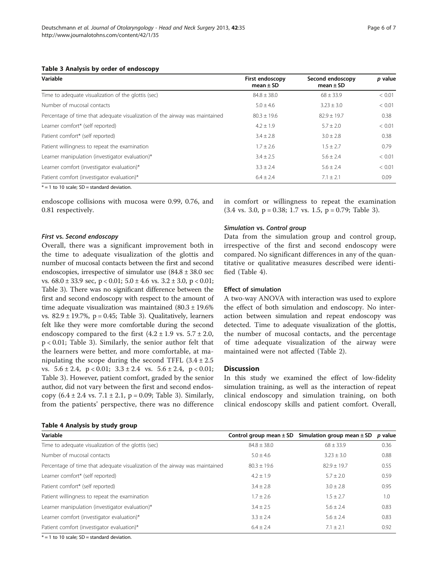#### Table 3 Analysis by order of endoscopy

| Variable                                                                    | First endoscopy<br>mean $\pm$ SD | Second endoscopy<br>mean $\pm$ SD | p value |
|-----------------------------------------------------------------------------|----------------------------------|-----------------------------------|---------|
| Time to adequate visualization of the glottis (sec)                         | $84.8 \pm 38.0$                  | $68 + 33.9$                       | < 0.01  |
| Number of mucosal contacts                                                  | $5.0 + 4.6$                      | $3.23 + 3.0$                      | < 0.01  |
| Percentage of time that adequate visualization of the airway was maintained | $80.3 + 19.6$                    | $82.9 \pm 19.7$                   | 0.38    |
| Learner comfort* (self reported)                                            | $4.2 + 1.9$                      | $5.7 + 2.0$                       | < 0.01  |
| Patient comfort* (self reported)                                            | $3.4 + 2.8$                      | $3.0 + 2.8$                       | 0.38    |
| Patient willingness to repeat the examination                               | $1.7 \pm 2.6$                    | $1.5 \pm 2.7$                     | 0.79    |
| Learner manipulation (investigator evaluation)*                             | $3.4 + 2.5$                      | $5.6 + 2.4$                       | < 0.01  |
| Learner comfort (investigator evaluation)*                                  | $3.3 \pm 2.4$                    | $5.6 \pm 2.4$                     | < 0.01  |
| Patient comfort (investigator evaluation)*                                  | $6.4 \pm 2.4$                    | $7.1 \pm 2.1$                     | 0.09    |

 $* = 1$  to 10 scale; SD = standard deviation.

endoscope collisions with mucosa were 0.99, 0.76, and 0.81 respectively.

#### First vs. Second endoscopy

Overall, there was a significant improvement both in the time to adequate visualization of the glottis and number of mucosal contacts between the first and second endoscopies, irrespective of simulator use (84.8 ± 38.0 sec vs. 68.0 ± 33.9 sec, p < 0.01; 5.0 ± 4.6 vs. 3.2 ± 3.0, p < 0.01; Table 3). There was no significant difference between the first and second endoscopy with respect to the amount of time adequate visualization was maintained  $(80.3 \pm 19.6\%)$ vs.  $82.9 \pm 19.7$ %, p = 0.45; Table 3). Qualitatively, learners felt like they were more comfortable during the second endoscopy compared to the first  $(4.2 \pm 1.9 \text{ vs. } 5.7 \pm 2.0,$ p < 0.01; Table 3). Similarly, the senior author felt that the learners were better, and more comfortable, at manipulating the scope during the second TFFL  $(3.4 \pm 2.5)$ vs.  $5.6 \pm 2.4$ ,  $p < 0.01$ ;  $3.3 \pm 2.4$  vs.  $5.6 \pm 2.4$ ,  $p < 0.01$ ; Table 3). However, patient comfort, graded by the senior author, did not vary between the first and second endoscopy (6.4 ± 2.4 vs. 7.1 ± 2.1, p = 0.09; Table 3). Similarly, from the patients' perspective, there was no difference

## Table 4 Analysis by study group

## in comfort or willingness to repeat the examination  $(3.4 \text{ vs. } 3.0, \text{ p} = 0.38; 1.7 \text{ vs. } 1.5, \text{ p} = 0.79; \text{ Table } 3).$

#### Simulation vs. Control group

Data from the simulation group and control group, irrespective of the first and second endoscopy were compared. No significant differences in any of the quantitative or qualitative measures described were identified (Table 4).

### Effect of simulation

A two-way ANOVA with interaction was used to explore the effect of both simulation and endoscopy. No interaction between simulation and repeat endoscopy was detected. Time to adequate visualization of the glottis, the number of mucosal contacts, and the percentage of time adequate visualization of the airway were maintained were not affected (Table [2](#page-4-0)).

## **Discussion**

In this study we examined the effect of low-fidelity simulation training, as well as the interaction of repeat clinical endoscopy and simulation training, on both clinical endoscopy skills and patient comfort. Overall,

| Variable                                                                    |                 | Control group mean $\pm$ SD Simulation group mean $\pm$ SD | p value |
|-----------------------------------------------------------------------------|-----------------|------------------------------------------------------------|---------|
| Time to adequate visualization of the glottis (sec)                         | $84.8 \pm 38.0$ | $68 \pm 33.9$                                              | 0.36    |
| Number of mucosal contacts                                                  | $5.0 \pm 4.6$   | $3.23 \pm 3.0$                                             | 0.88    |
| Percentage of time that adequate visualization of the airway was maintained | $80.3 + 19.6$   | $82.9 + 19.7$                                              | 0.55    |
| Learner comfort* (self reported)                                            | $4.2 \pm 1.9$   | $5.7 \pm 2.0$                                              | 0.59    |
| Patient comfort* (self reported)                                            | $3.4 \pm 2.8$   | $3.0 \pm 2.8$                                              | 0.95    |
| Patient willingness to repeat the examination                               | $1.7 + 2.6$     | $1.5 \pm 2.7$                                              | 1.0     |
| Learner manipulation (investigator evaluation)*                             | $3.4 \pm 2.5$   | $5.6 + 2.4$                                                | 0.83    |
| Learner comfort (investigator evaluation)*                                  | $3.3 \pm 2.4$   | $5.6 \pm 2.4$                                              | 0.83    |
| Patient comfort (investigator evaluation)*                                  | $6.4 \pm 2.4$   | $7.1 \pm 2.1$                                              | 0.92    |

 $* = 1$  to 10 scale; SD = standard deviation.